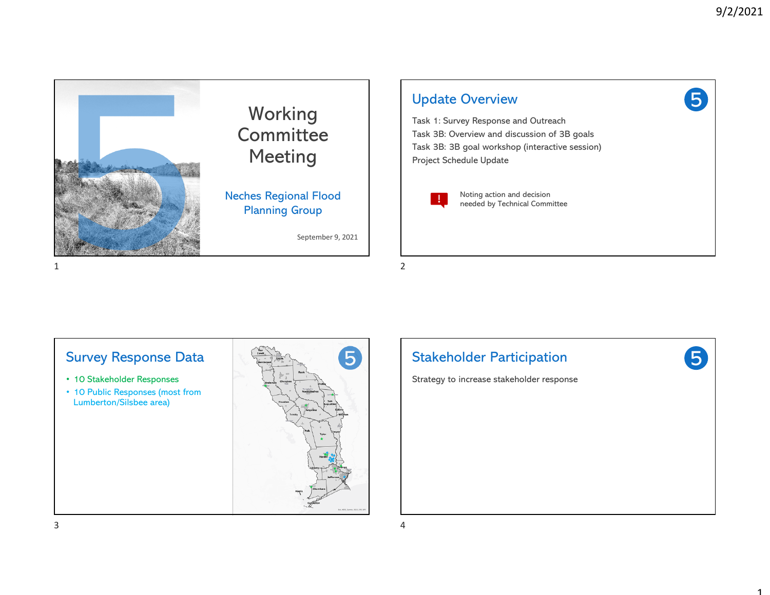1









- 10 Stakeholder Responses
- 10 Public Responses (most from Lumberton/Silsbee area)



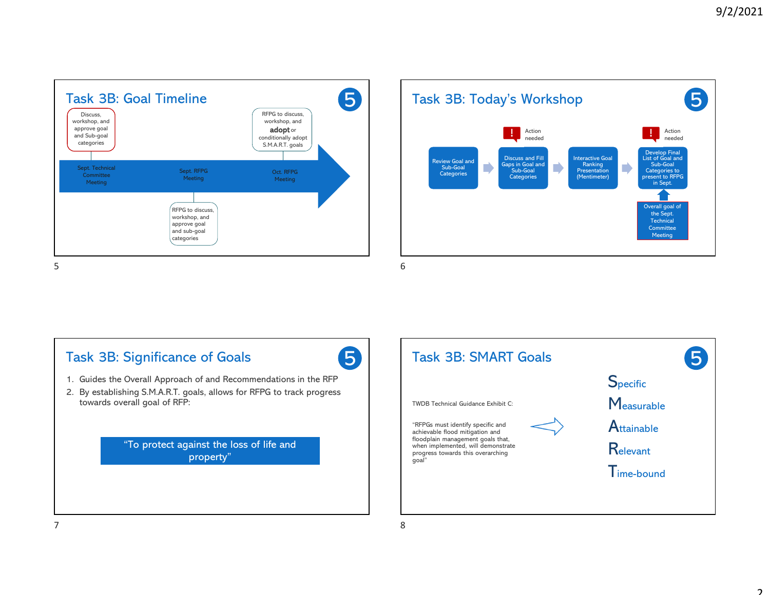





#### $7$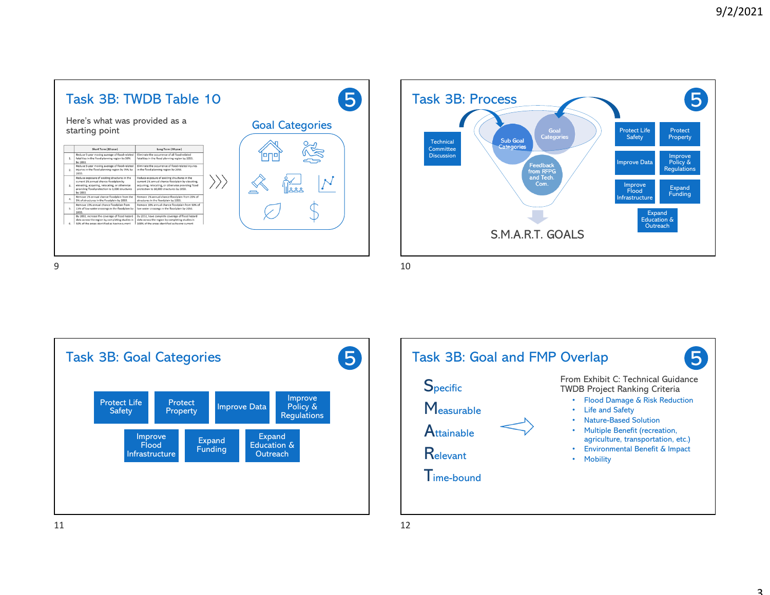



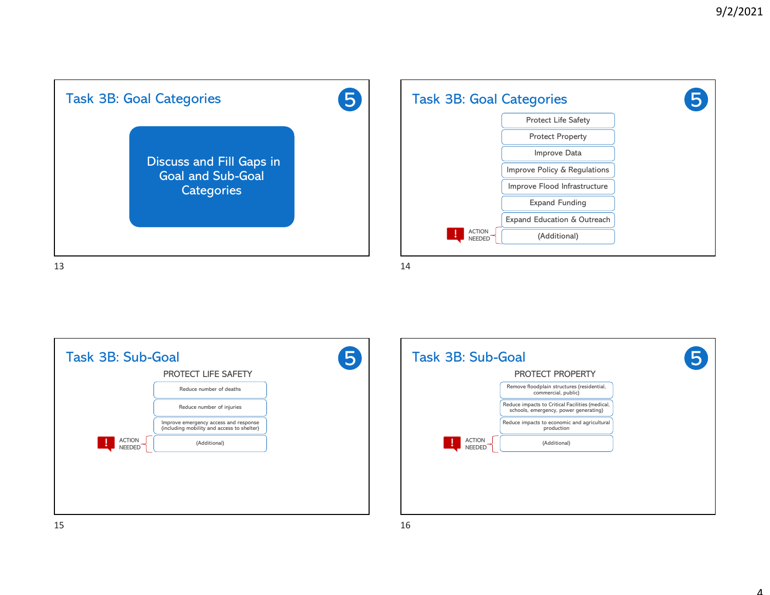

|  |                                                                                     |                                | Task 3B: Sub-Goal |
|--|-------------------------------------------------------------------------------------|--------------------------------|-------------------|
|  | PROTECT LIFE SAFETY                                                                 |                                |                   |
|  | Reduce number of deaths                                                             |                                |                   |
|  | Reduce number of injuries                                                           |                                |                   |
|  | Improve emergency access and response<br>(including mobility and access to shelter) |                                |                   |
|  | (Additional)                                                                        | <b>ACTION</b><br><b>NEEDED</b> | $\clubsuit$       |
|  |                                                                                     |                                |                   |
|  |                                                                                     |                                |                   |
|  |                                                                                     |                                |                   |
|  |                                                                                     |                                |                   |

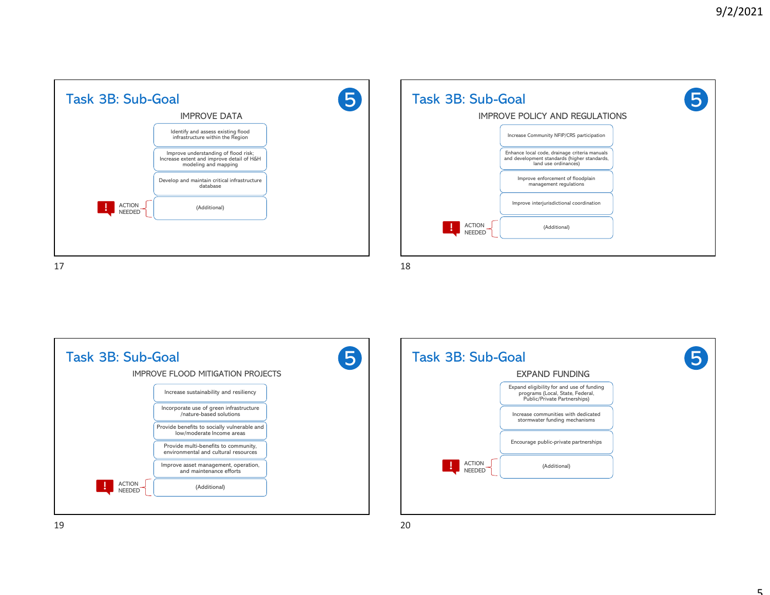| Identify and assess existing flood<br>infrastructure within the Region<br>Improve understanding of flood risk;<br>Increase extent and improve detail of H&H<br>modeling and mapping<br>Develop and maintain critical infrastructure<br>database |               | <b>IMPROVE DATA</b> |  |
|-------------------------------------------------------------------------------------------------------------------------------------------------------------------------------------------------------------------------------------------------|---------------|---------------------|--|
|                                                                                                                                                                                                                                                 |               |                     |  |
|                                                                                                                                                                                                                                                 |               |                     |  |
|                                                                                                                                                                                                                                                 |               |                     |  |
| <b>NEEDED</b>                                                                                                                                                                                                                                   | <b>ACTION</b> | (Additional)        |  |

| Task 3B: Sub-Goal                    | <b>IMPROVE POLICY AND REGULATIONS</b>                                                                                 | 5 |
|--------------------------------------|-----------------------------------------------------------------------------------------------------------------------|---|
|                                      | Increase Community NFIP/CRS participation                                                                             |   |
|                                      | Enhance local code, drainage criteria manuals<br>and development standards (higher standards,<br>land use ordinances) |   |
|                                      | Improve enforcement of floodplain<br>management regulations                                                           |   |
|                                      | Improve interjurisdictional coordination                                                                              |   |
| <b>ACTION</b><br>÷.<br><b>NEEDED</b> | (Additional)                                                                                                          |   |
|                                      |                                                                                                                       |   |



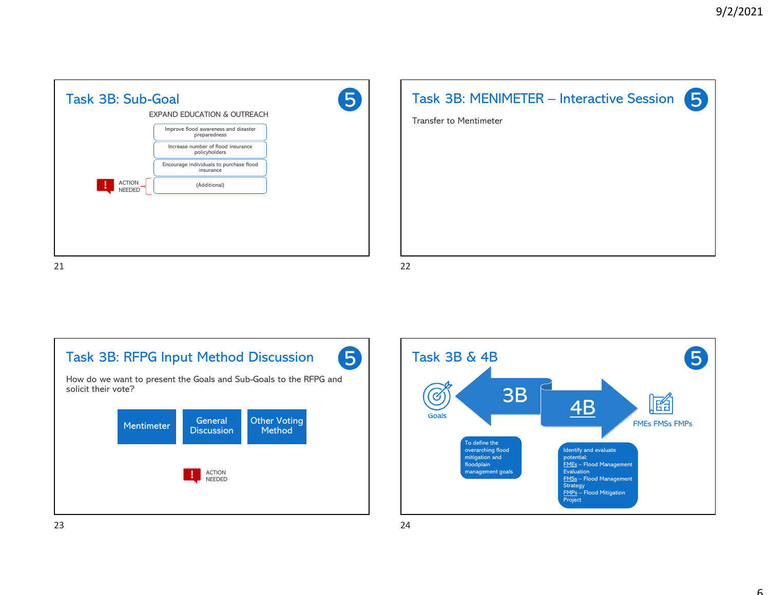



Task 3B: RFPG Input Method Discussion 5 How do we want to present the Goals and Sub-Goals to the RFPG and solicit their vote? Mentimeter General **Discussion Other Voting** Method ACTION NEEDED  $23$ 

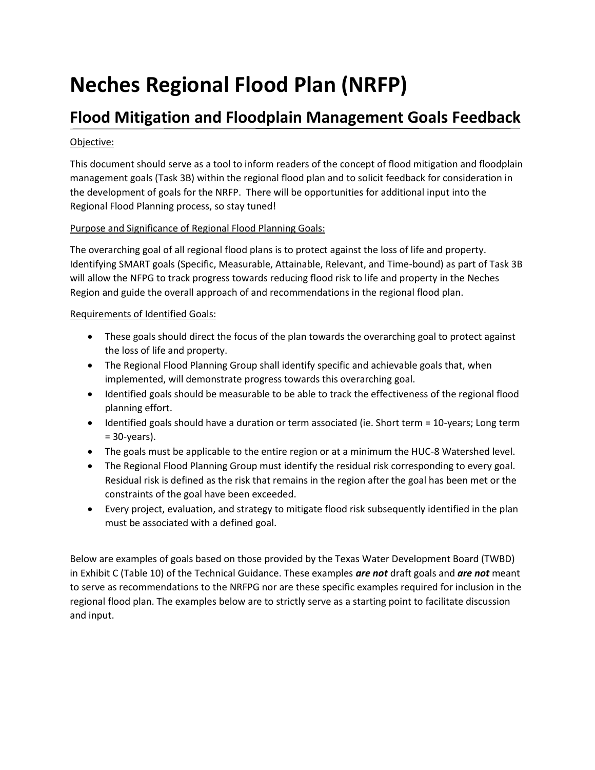# **Neches Regional Flood Plan (NRFP)**

## **Flood Mitigation and Floodplain Management Goals Feedback**

#### Objective:

This document should serve as a tool to inform readers of the concept of flood mitigation and floodplain management goals (Task 3B) within the regional flood plan and to solicit feedback for consideration in the development of goals for the NRFP. There will be opportunities for additional input into the Regional Flood Planning process, so stay tuned!

#### Purpose and Significance of Regional Flood Planning Goals:

The overarching goal of all regional flood plans is to protect against the loss of life and property. Identifying SMART goals (Specific, Measurable, Attainable, Relevant, and Time-bound) as part of Task 3B will allow the NFPG to track progress towards reducing flood risk to life and property in the Neches Region and guide the overall approach of and recommendations in the regional flood plan.

#### Requirements of Identified Goals:

- These goals should direct the focus of the plan towards the overarching goal to protect against the loss of life and property.
- The Regional Flood Planning Group shall identify specific and achievable goals that, when implemented, will demonstrate progress towards this overarching goal.
- Identified goals should be measurable to be able to track the effectiveness of the regional flood planning effort.
- Identified goals should have a duration or term associated (ie. Short term = 10-years; Long term  $= 30$ -years).
- The goals must be applicable to the entire region or at a minimum the HUC-8 Watershed level.
- The Regional Flood Planning Group must identify the residual risk corresponding to every goal. Residual risk is defined as the risk that remains in the region after the goal has been met or the constraints of the goal have been exceeded.
- Every project, evaluation, and strategy to mitigate flood risk subsequently identified in the plan must be associated with a defined goal.

Below are examples of goals based on those provided by the Texas Water Development Board (TWBD) in Exhibit C (Table 10) of the Technical Guidance. These examples *are not* draft goals and *are not* meant to serve as recommendations to the NRFPG nor are these specific examples required for inclusion in the regional flood plan. The examples below are to strictly serve as a starting point to facilitate discussion and input.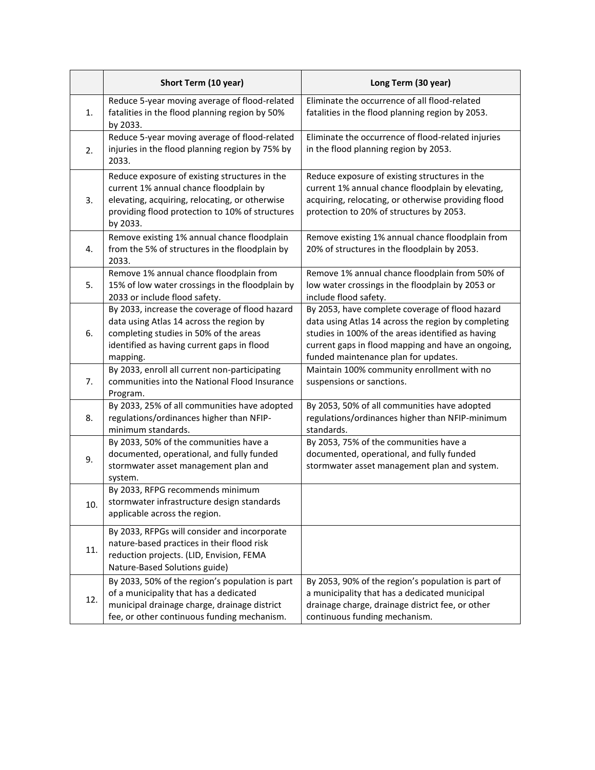|     | Short Term (10 year)                                                                                                                                                                                     | Long Term (30 year)                                                                                                                                                                                                                                       |
|-----|----------------------------------------------------------------------------------------------------------------------------------------------------------------------------------------------------------|-----------------------------------------------------------------------------------------------------------------------------------------------------------------------------------------------------------------------------------------------------------|
| 1.  | Reduce 5-year moving average of flood-related<br>fatalities in the flood planning region by 50%<br>by 2033.                                                                                              | Eliminate the occurrence of all flood-related<br>fatalities in the flood planning region by 2053.                                                                                                                                                         |
| 2.  | Reduce 5-year moving average of flood-related<br>injuries in the flood planning region by 75% by<br>2033.                                                                                                | Eliminate the occurrence of flood-related injuries<br>in the flood planning region by 2053.                                                                                                                                                               |
| 3.  | Reduce exposure of existing structures in the<br>current 1% annual chance floodplain by<br>elevating, acquiring, relocating, or otherwise<br>providing flood protection to 10% of structures<br>by 2033. | Reduce exposure of existing structures in the<br>current 1% annual chance floodplain by elevating,<br>acquiring, relocating, or otherwise providing flood<br>protection to 20% of structures by 2053.                                                     |
| 4.  | Remove existing 1% annual chance floodplain<br>from the 5% of structures in the floodplain by<br>2033.                                                                                                   | Remove existing 1% annual chance floodplain from<br>20% of structures in the floodplain by 2053.                                                                                                                                                          |
| 5.  | Remove 1% annual chance floodplain from<br>15% of low water crossings in the floodplain by<br>2033 or include flood safety.                                                                              | Remove 1% annual chance floodplain from 50% of<br>low water crossings in the floodplain by 2053 or<br>include flood safety.                                                                                                                               |
| 6.  | By 2033, increase the coverage of flood hazard<br>data using Atlas 14 across the region by<br>completing studies in 50% of the areas<br>identified as having current gaps in flood<br>mapping.           | By 2053, have complete coverage of flood hazard<br>data using Atlas 14 across the region by completing<br>studies in 100% of the areas identified as having<br>current gaps in flood mapping and have an ongoing,<br>funded maintenance plan for updates. |
| 7.  | By 2033, enroll all current non-participating<br>communities into the National Flood Insurance<br>Program.                                                                                               | Maintain 100% community enrollment with no<br>suspensions or sanctions.                                                                                                                                                                                   |
| 8.  | By 2033, 25% of all communities have adopted<br>regulations/ordinances higher than NFIP-<br>minimum standards.                                                                                           | By 2053, 50% of all communities have adopted<br>regulations/ordinances higher than NFIP-minimum<br>standards.                                                                                                                                             |
| 9.  | By 2033, 50% of the communities have a<br>documented, operational, and fully funded<br>stormwater asset management plan and<br>system.                                                                   | By 2053, 75% of the communities have a<br>documented, operational, and fully funded<br>stormwater asset management plan and system.                                                                                                                       |
| 10. | By 2033, RFPG recommends minimum<br>stormwater infrastructure design standards<br>applicable across the region.                                                                                          |                                                                                                                                                                                                                                                           |
| 11. | By 2033, RFPGs will consider and incorporate<br>nature-based practices in their flood risk<br>reduction projects. (LID, Envision, FEMA<br>Nature-Based Solutions guide)                                  |                                                                                                                                                                                                                                                           |
| 12. | By 2033, 50% of the region's population is part<br>of a municipality that has a dedicated<br>municipal drainage charge, drainage district<br>fee, or other continuous funding mechanism.                 | By 2053, 90% of the region's population is part of<br>a municipality that has a dedicated municipal<br>drainage charge, drainage district fee, or other<br>continuous funding mechanism.                                                                  |